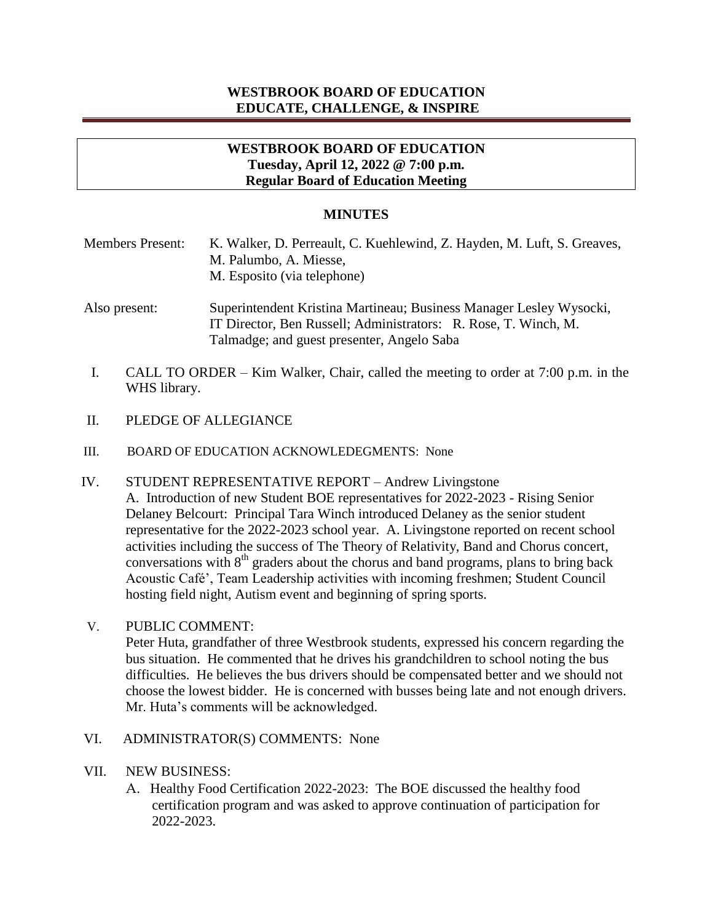# **WESTBROOK BOARD OF EDUCATION EDUCATE, CHALLENGE, & INSPIRE**

## **WESTBROOK BOARD OF EDUCATION Tuesday, April 12, 2022 @ 7:00 p.m. Regular Board of Education Meeting**

#### **MINUTES**

| <b>Members Present:</b> | K. Walker, D. Perreault, C. Kuehlewind, Z. Hayden, M. Luft, S. Greaves, |
|-------------------------|-------------------------------------------------------------------------|
|                         | M. Palumbo, A. Miesse,                                                  |
|                         | M. Esposito (via telephone)                                             |
|                         |                                                                         |

- Also present: Superintendent Kristina Martineau; Business Manager Lesley Wysocki, IT Director, Ben Russell; Administrators: R. Rose, T. Winch, M. Talmadge; and guest presenter, Angelo Saba
- I. CALL TO ORDER Kim Walker, Chair, called the meeting to order at 7:00 p.m. in the WHS library.
- II. PLEDGE OF ALLEGIANCE
- III. BOARD OF EDUCATION ACKNOWLEDEGMENTS: None
- IV. STUDENT REPRESENTATIVE REPORT Andrew Livingstone A. Introduction of new Student BOE representatives for 2022-2023 - Rising Senior Delaney Belcourt: Principal Tara Winch introduced Delaney as the senior student representative for the 2022-2023 school year. A. Livingstone reported on recent school activities including the success of The Theory of Relativity, Band and Chorus concert, conversations with  $8<sup>th</sup>$  graders about the chorus and band programs, plans to bring back Acoustic Café', Team Leadership activities with incoming freshmen; Student Council hosting field night, Autism event and beginning of spring sports.
- V. PUBLIC COMMENT:

Peter Huta, grandfather of three Westbrook students, expressed his concern regarding the bus situation. He commented that he drives his grandchildren to school noting the bus difficulties. He believes the bus drivers should be compensated better and we should not choose the lowest bidder. He is concerned with busses being late and not enough drivers. Mr. Huta's comments will be acknowledged.

- VI. ADMINISTRATOR(S) COMMENTS: None
- VII. NEW BUSINESS:
	- A. Healthy Food Certification 2022-2023: The BOE discussed the healthy food certification program and was asked to approve continuation of participation for 2022-2023.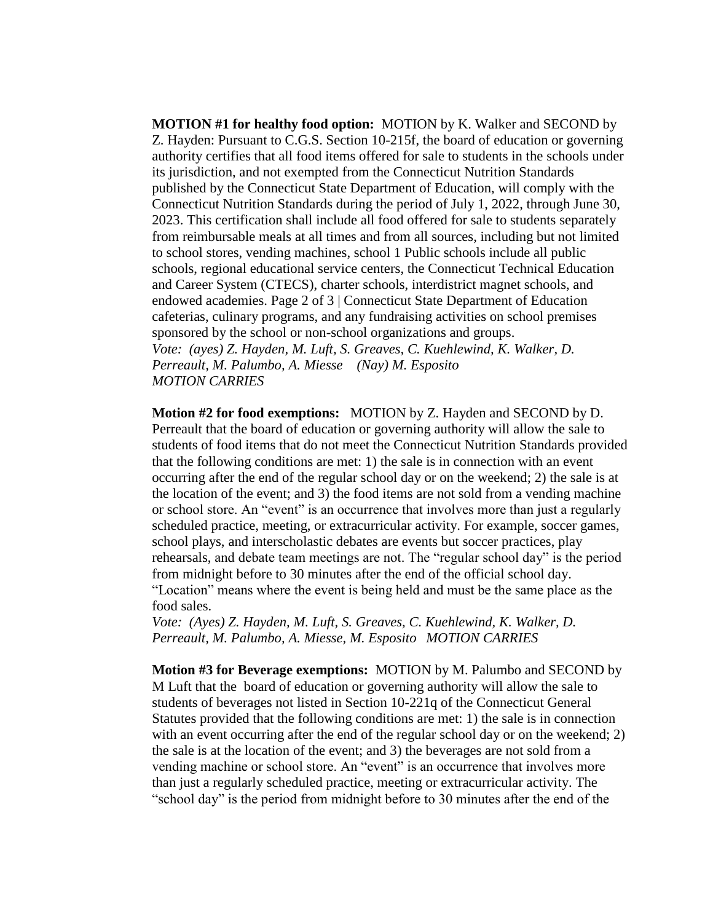**MOTION #1 for healthy food option:** MOTION by K. Walker and SECOND by Z. Hayden: Pursuant to C.G.S. Section 10-215f, the board of education or governing authority certifies that all food items offered for sale to students in the schools under its jurisdiction, and not exempted from the Connecticut Nutrition Standards published by the Connecticut State Department of Education, will comply with the Connecticut Nutrition Standards during the period of July 1, 2022, through June 30, 2023. This certification shall include all food offered for sale to students separately from reimbursable meals at all times and from all sources, including but not limited to school stores, vending machines, school 1 Public schools include all public schools, regional educational service centers, the Connecticut Technical Education and Career System (CTECS), charter schools, interdistrict magnet schools, and endowed academies. Page 2 of 3 | Connecticut State Department of Education cafeterias, culinary programs, and any fundraising activities on school premises sponsored by the school or non-school organizations and groups. *Vote: (ayes) Z. Hayden, M. Luft, S. Greaves, C. Kuehlewind, K. Walker, D. Perreault, M. Palumbo, A. Miesse (Nay) M. Esposito MOTION CARRIES*

**Motion #2 for food exemptions:** MOTION by Z. Hayden and SECOND by D. Perreault that the board of education or governing authority will allow the sale to students of food items that do not meet the Connecticut Nutrition Standards provided that the following conditions are met: 1) the sale is in connection with an event occurring after the end of the regular school day or on the weekend; 2) the sale is at the location of the event; and 3) the food items are not sold from a vending machine or school store. An "event" is an occurrence that involves more than just a regularly scheduled practice, meeting, or extracurricular activity. For example, soccer games, school plays, and interscholastic debates are events but soccer practices, play rehearsals, and debate team meetings are not. The "regular school day" is the period from midnight before to 30 minutes after the end of the official school day. "Location" means where the event is being held and must be the same place as the food sales.

*Vote: (Ayes) Z. Hayden, M. Luft, S. Greaves, C. Kuehlewind, K. Walker, D. Perreault, M. Palumbo, A. Miesse, M. Esposito MOTION CARRIES*

**Motion #3 for Beverage exemptions:** MOTION by M. Palumbo and SECOND by M Luft that the board of education or governing authority will allow the sale to students of beverages not listed in Section 10-221q of the Connecticut General Statutes provided that the following conditions are met: 1) the sale is in connection with an event occurring after the end of the regular school day or on the weekend; 2) the sale is at the location of the event; and 3) the beverages are not sold from a vending machine or school store. An "event" is an occurrence that involves more than just a regularly scheduled practice, meeting or extracurricular activity. The "school day" is the period from midnight before to 30 minutes after the end of the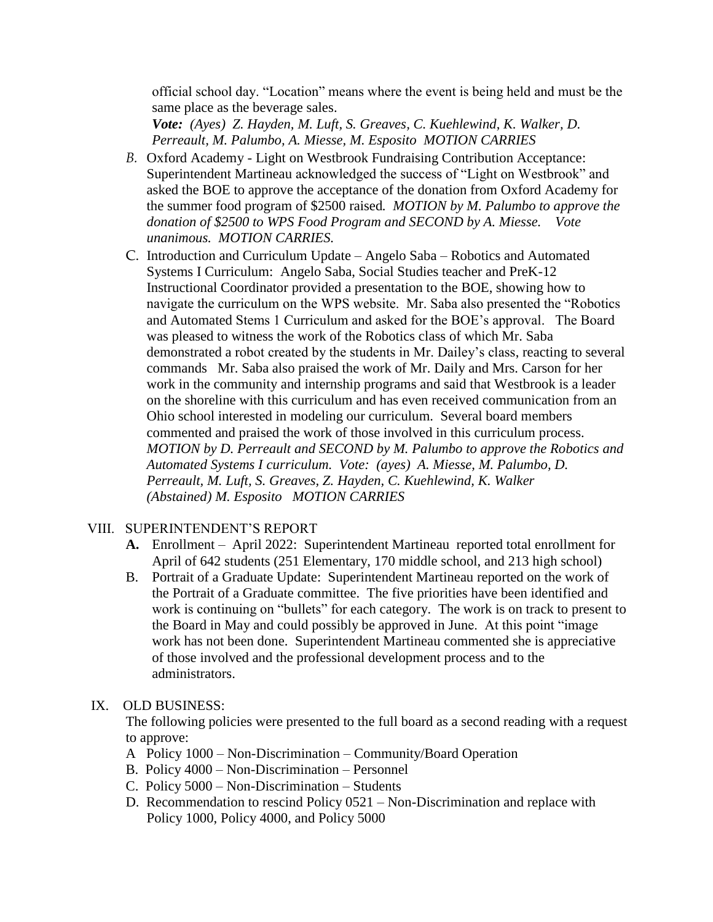official school day. "Location" means where the event is being held and must be the same place as the beverage sales.

*Vote: (Ayes) Z. Hayden, M. Luft, S. Greaves, C. Kuehlewind*, *K. Walker, D. Perreault, M. Palumbo, A. Miesse, M. Esposito MOTION CARRIES*

- *B.* Oxford Academy Light on Westbrook Fundraising Contribution Acceptance: Superintendent Martineau acknowledged the success of "Light on Westbrook" and asked the BOE to approve the acceptance of the donation from Oxford Academy for the summer food program of \$2500 raised*. MOTION by M. Palumbo to approve the donation of \$2500 to WPS Food Program and SECOND by A. Miesse. Vote unanimous. MOTION CARRIES.*
- C. Introduction and Curriculum Update Angelo Saba Robotics and Automated Systems I Curriculum: Angelo Saba, Social Studies teacher and PreK-12 Instructional Coordinator provided a presentation to the BOE, showing how to navigate the curriculum on the WPS website. Mr. Saba also presented the "Robotics and Automated Stems 1 Curriculum and asked for the BOE's approval. The Board was pleased to witness the work of the Robotics class of which Mr. Saba demonstrated a robot created by the students in Mr. Dailey's class, reacting to several commands Mr. Saba also praised the work of Mr. Daily and Mrs. Carson for her work in the community and internship programs and said that Westbrook is a leader on the shoreline with this curriculum and has even received communication from an Ohio school interested in modeling our curriculum. Several board members commented and praised the work of those involved in this curriculum process. *MOTION by D. Perreault and SECOND by M. Palumbo to approve the Robotics and Automated Systems I curriculum. Vote: (ayes) A. Miesse, M. Palumbo, D. Perreault, M. Luft, S. Greaves, Z. Hayden, C. Kuehlewind, K. Walker (Abstained) M. Esposito MOTION CARRIES*

# VIII. SUPERINTENDENT'S REPORT

- **A.** Enrollment April 2022: Superintendent Martineau reported total enrollment for April of 642 students (251 Elementary, 170 middle school, and 213 high school)
- B. Portrait of a Graduate Update: Superintendent Martineau reported on the work of the Portrait of a Graduate committee. The five priorities have been identified and work is continuing on "bullets" for each category. The work is on track to present to the Board in May and could possibly be approved in June. At this point "image work has not been done. Superintendent Martineau commented she is appreciative of those involved and the professional development process and to the administrators.

#### IX. OLD BUSINESS:

The following policies were presented to the full board as a second reading with a request to approve:

- A Policy 1000 Non-Discrimination Community/Board Operation
- B. Policy 4000 Non-Discrimination Personnel
- C. Policy 5000 Non-Discrimination Students
- D. Recommendation to rescind Policy 0521 Non-Discrimination and replace with Policy 1000, Policy 4000, and Policy 5000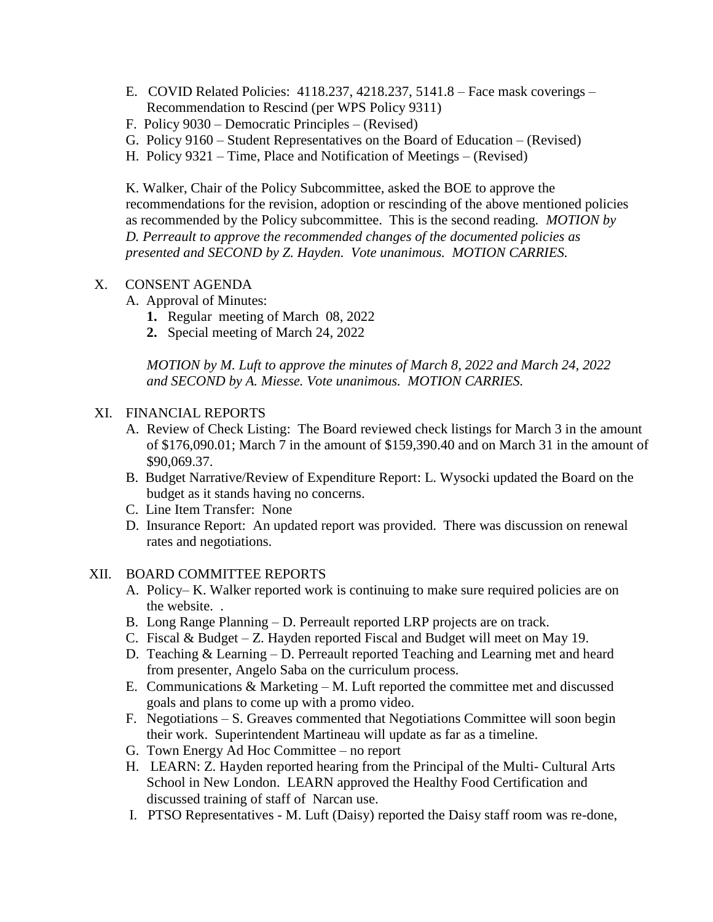- E. COVID Related Policies: 4118.237, 4218.237, 5141.8 Face mask coverings Recommendation to Rescind (per WPS Policy 9311)
- F. Policy 9030 Democratic Principles (Revised)
- G. Policy 9160 Student Representatives on the Board of Education (Revised)
- H. Policy 9321 Time, Place and Notification of Meetings (Revised)

K. Walker, Chair of the Policy Subcommittee, asked the BOE to approve the recommendations for the revision, adoption or rescinding of the above mentioned policies as recommended by the Policy subcommittee. This is the second reading*. MOTION by D. Perreault to approve the recommended changes of the documented policies as presented and SECOND by Z. Hayden. Vote unanimous. MOTION CARRIES.* 

## X. CONSENT AGENDA

- A. Approval of Minutes:
	- **1.** Regular meeting of March 08, 2022
	- **2.** Special meeting of March 24, 2022

*MOTION by M. Luft to approve the minutes of March 8, 2022 and March 24, 2022 and SECOND by A. Miesse. Vote unanimous. MOTION CARRIES.*

#### XI. FINANCIAL REPORTS

- A. Review of Check Listing: The Board reviewed check listings for March 3 in the amount of \$176,090.01; March 7 in the amount of \$159,390.40 and on March 31 in the amount of \$90,069.37.
- B. Budget Narrative/Review of Expenditure Report: L. Wysocki updated the Board on the budget as it stands having no concerns.
- C. Line Item Transfer: None
- D. Insurance Report: An updated report was provided. There was discussion on renewal rates and negotiations.

#### XII. BOARD COMMITTEE REPORTS

- A. Policy– K. Walker reported work is continuing to make sure required policies are on the website. .
- B. Long Range Planning D. Perreault reported LRP projects are on track.
- C. Fiscal & Budget Z. Hayden reported Fiscal and Budget will meet on May 19.
- D. Teaching & Learning D. Perreault reported Teaching and Learning met and heard from presenter, Angelo Saba on the curriculum process.
- E. Communications  $\&$  Marketing M. Luft reported the committee met and discussed goals and plans to come up with a promo video.
- F. Negotiations S. Greaves commented that Negotiations Committee will soon begin their work. Superintendent Martineau will update as far as a timeline.
- G. Town Energy Ad Hoc Committee no report
- H. LEARN: Z. Hayden reported hearing from the Principal of the Multi- Cultural Arts School in New London. LEARN approved the Healthy Food Certification and discussed training of staff of Narcan use.
- I. PTSO Representatives M. Luft (Daisy) reported the Daisy staff room was re-done,